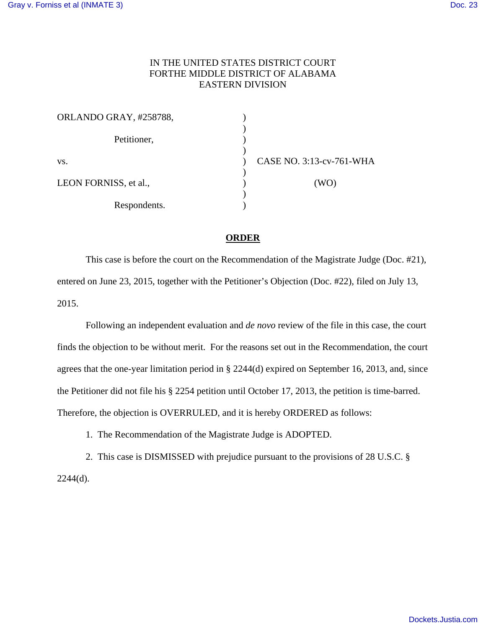## IN THE UNITED STATES DISTRICT COURT FORTHE MIDDLE DISTRICT OF ALABAMA EASTERN DIVISION

| ORLANDO GRAY, #258788, |                          |
|------------------------|--------------------------|
| Petitioner,            |                          |
| VS.                    | CASE NO. 3:13-cv-761-WHA |
| LEON FORNISS, et al.,  | (WO)                     |
| Respondents.           |                          |

## **ORDER**

 This case is before the court on the Recommendation of the Magistrate Judge (Doc. #21), entered on June 23, 2015, together with the Petitioner's Objection (Doc. #22), filed on July 13, 2015.

 Following an independent evaluation and *de novo* review of the file in this case, the court finds the objection to be without merit. For the reasons set out in the Recommendation, the court agrees that the one-year limitation period in § 2244(d) expired on September 16, 2013, and, since the Petitioner did not file his § 2254 petition until October 17, 2013, the petition is time-barred. Therefore, the objection is OVERRULED, and it is hereby ORDERED as follows:

1. The Recommendation of the Magistrate Judge is ADOPTED.

 2. This case is DISMISSED with prejudice pursuant to the provisions of 28 U.S.C. § 2244(d).